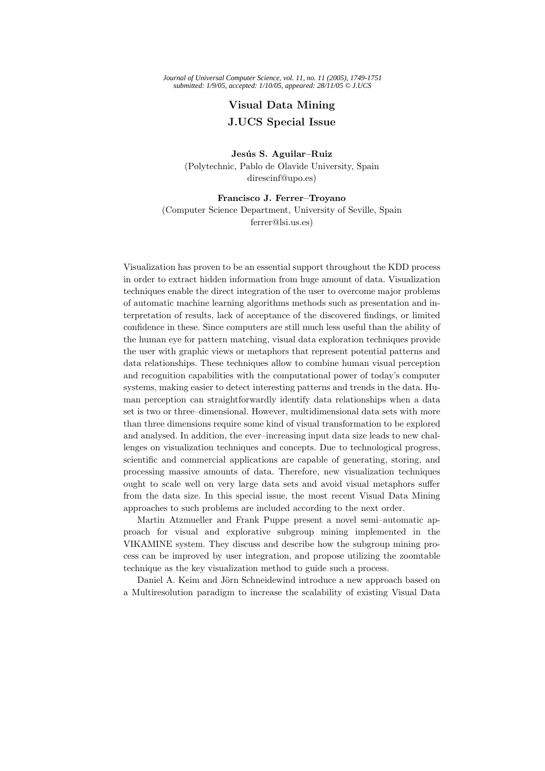*Journal of Universal Computer Science, vol. 11, no. 11 (2005), 1749-1751 submitted: 1/9/05, accepted: 1/10/05, appeared: 28/11/05 © J.UCS*

## **Visual Data Mining J.UCS Special Issue**

(Polytechnic, Pablo de Olavide University, Spain direscinf@upo.es)

(Computer Science Department, University of Seville, Spain ferrer@lsi.us.es)

Visualization has proven to be an essential support throughout the KDD process in order to extract hidden information from huge amount of data. Visualization techniques enable the direct integration of the user to overcome major problems of automatic machine learning algorithms methods such as presentation and interpretation of results, lack of acceptance of the discovered findings, or limited confidence in these. Since computers are still much less useful than the ability of the human eye for pattern matching, visual data exploration techniques provide the user with graphic views or metaphors that represent potential patterns and data relationships. These techniques allow to combine human visual perception and recognition capabilities with the computational power of today's computer systems, making easier to detect interesting patterns and trends in the data. Human perception can straightforwardly identify data relationships when a data set is two or three–dimensional. However, multidimensional data sets with more than three dimensions require some kind of visual transformation to be explored and analysed. In addition, the ever–increasing input data size leads to new challenges on visualization techniques and concepts. Due to technological progress, scientific and commercial applications are capable of generating, storing, and processing massive amounts of data. Therefore, new visualization techniques ought to scale well on very large data sets and avoid visual metaphors suffer from the data size. In this special issue, the most recent Visual Data Mining approaches to such problems are included according to the next order.

Martin Atzmueller and Frank Puppe present a novel semi–automatic approach for visual and explorative subgroup mining implemented in the VIKAMINE system. They discuss and describe how the subgroup mining process can be improved by user integration, and propose utilizing the zoomtable technique as the key visualization method to guide such a process.

Daniel A. Keim and Jörn Schneidewind introduce a new approach based on a Multiresolution paradigm to increase the scalability of existing Visual Data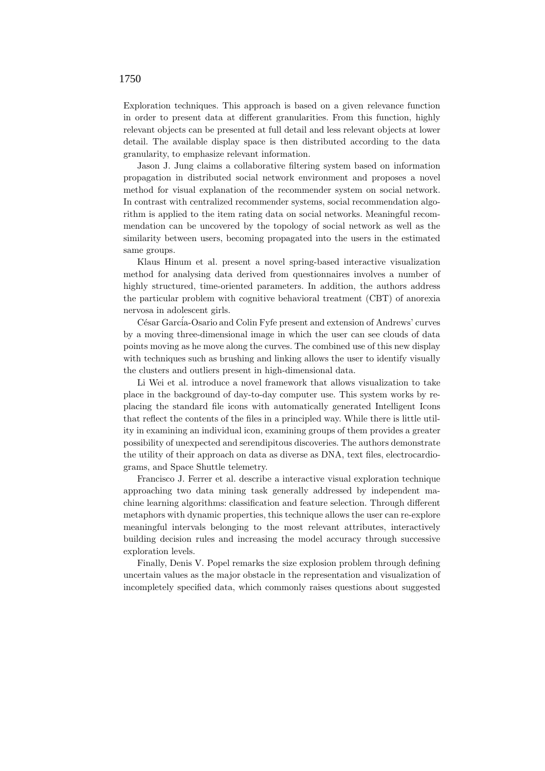Exploration techniques. This approach is based on a given relevance function in order to present data at different granularities. From this function, highly relevant objects can be presented at full detail and less relevant objects at lower detail. The available display space is then distributed according to the data granularity, to emphasize relevant information.

Jason J. Jung claims a collaborative filtering system based on information propagation in distributed social network environment and proposes a novel method for visual explanation of the recommender system on social network. In contrast with centralized recommender systems, social recommendation algorithm is applied to the item rating data on social networks. Meaningful recommendation can be uncovered by the topology of social network as well as the similarity between users, becoming propagated into the users in the estimated same groups.

Klaus Hinum et al. present a novel spring-based interactive visualization method for analysing data derived from questionnaires involves a number of highly structured, time-oriented parameters. In addition, the authors address the particular problem with cognitive behavioral treatment (CBT) of anorexia nervosa in adolescent girls.

César Garcia-Osario and Colin Fyfe present and extension of Andrews' curves by a moving three-dimensional image in which the user can see clouds of data points moving as he move along the curves. The combined use of this new display with techniques such as brushing and linking allows the user to identify visually the clusters and outliers present in high-dimensional data.

Li Wei et al. introduce a novel framework that allows visualization to take place in the background of day-to-day computer use. This system works by replacing the standard file icons with automatically generated Intelligent Icons that reflect the contents of the files in a principled way. While there is little utility in examining an individual icon, examining groups of them provides a greater possibility of unexpected and serendipitous discoveries. The authors demonstrate the utility of their approach on data as diverse as DNA, text files, electrocardiograms, and Space Shuttle telemetry.

Francisco J. Ferrer et al. describe a interactive visual exploration technique approaching two data mining task generally addressed by independent machine learning algorithms: classification and feature selection. Through different metaphors with dynamic properties, this technique allows the user can re-explore meaningful intervals belonging to the most relevant attributes, interactively building decision rules and increasing the model accuracy through successive exploration levels.

Finally, Denis V. Popel remarks the size explosion problem through defining uncertain values as the major obstacle in the representation and visualization of incompletely specified data, which commonly raises questions about suggested

## 1750